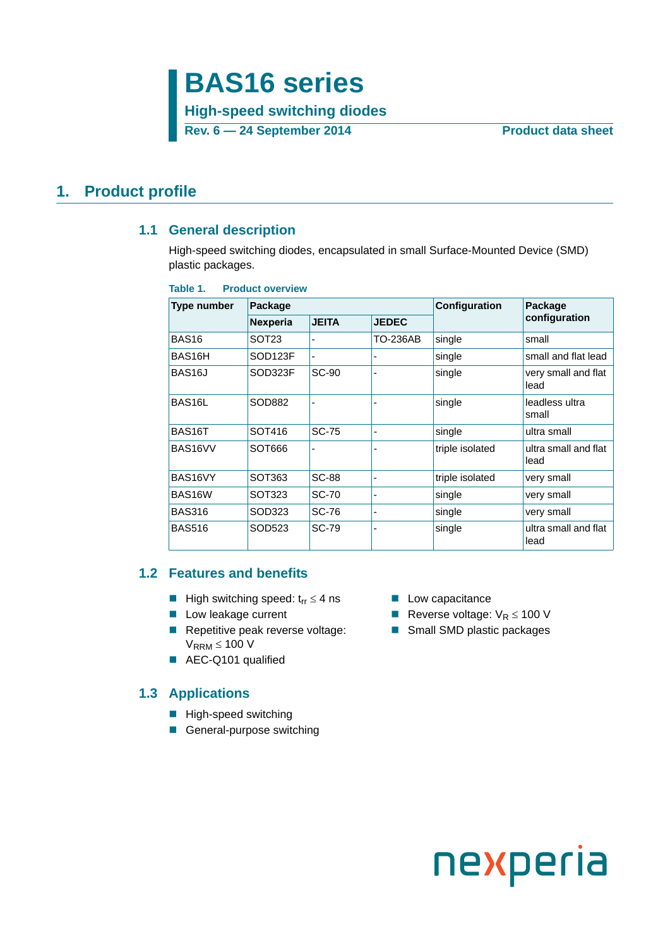## **BAS16 series**

**High-speed switching diodes**

**Rev. 6 — 24 September 2014 Product data sheet**

### <span id="page-0-2"></span><span id="page-0-1"></span>**1. Product profile**

#### **1.1 General description**

High-speed switching diodes, encapsulated in small Surface-Mounted Device (SMD) plastic packages.

| Table 1. |  |  |  |  | <b>Product overview</b> |
|----------|--|--|--|--|-------------------------|
|----------|--|--|--|--|-------------------------|

| Type number         | Package             |              |              | Configuration   | Package                      |
|---------------------|---------------------|--------------|--------------|-----------------|------------------------------|
|                     | <b>Nexperia</b>     | <b>JEITA</b> | <b>JEDEC</b> |                 | configuration                |
| BAS <sub>16</sub>   | SOT <sub>23</sub>   |              | TO-236AB     | single          | small                        |
| BAS16H              | SOD <sub>123F</sub> |              |              | single          | small and flat lead          |
| BAS <sub>16</sub> J | SOD323F             | <b>SC-90</b> |              | single          | very small and flat<br>lead  |
| BAS16L              | SOD882              |              |              | single          | leadless ultra<br>small      |
| BAS16T              | SOT416              | <b>SC-75</b> |              | single          | ultra small                  |
| BAS16VV             | SOT666              |              |              | triple isolated | ultra small and flat<br>lead |
| BAS16VY             | SOT363              | <b>SC-88</b> |              | triple isolated | very small                   |
| BAS16W              | SOT323              | <b>SC-70</b> |              | single          | very small                   |
| <b>BAS316</b>       | SOD323              | SC-76        |              | single          | very small                   |
| <b>BAS516</b>       | SOD523              | SC-79        |              | single          | ultra small and flat<br>lead |

### <span id="page-0-0"></span>**1.2 Features and benefits**

- High switching speed:  $t_{rr} \leq 4$  ns Low capacitance
- 
- Repetitive peak reverse voltage:  $V_{RRM}$   $\leq$  100 V
- AEC-Q101 qualified

### <span id="page-0-3"></span>**1.3 Applications**

- High-speed switching
- General-purpose switching
- 
- Low leakage current **EXECUS** Reverse voltage:  $V_R \le 100$  V
	- Small SMD plastic packages

# nexperia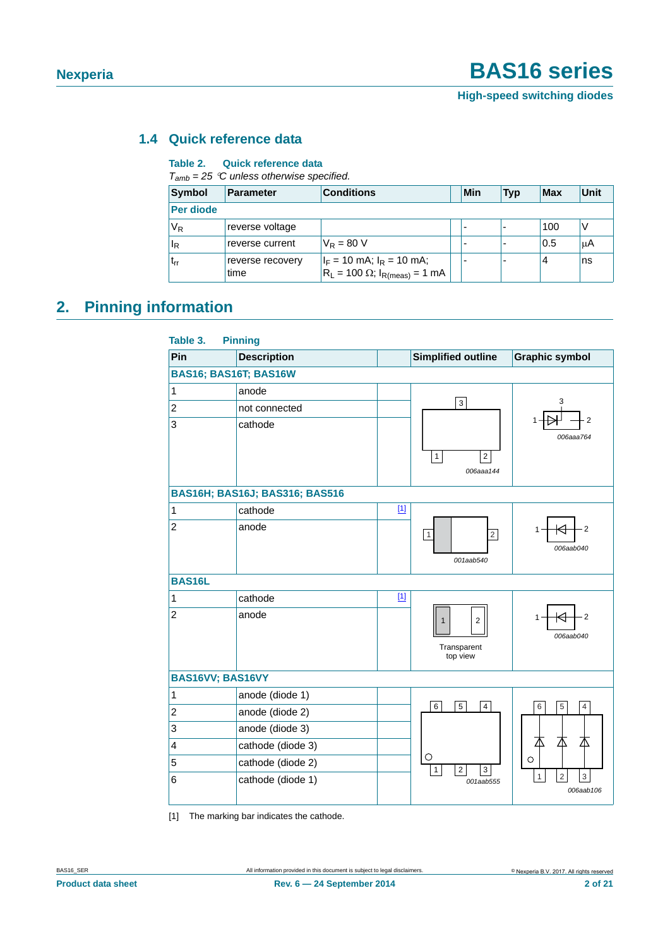### <span id="page-1-1"></span>**1.4 Quick reference data**

#### **Table 2. Quick reference data**

*Tamb = 25 C unless otherwise specified.*

| Symbol                 | <b>Parameter</b>         | <b>Conditions</b>                                                           |  | Min | <b>Typ</b> | Max | Unit |
|------------------------|--------------------------|-----------------------------------------------------------------------------|--|-----|------------|-----|------|
| <b>Per diode</b>       |                          |                                                                             |  |     |            |     |      |
| V <sub>R</sub>         | reverse voltage          |                                                                             |  |     |            | 100 |      |
| <sup>I</sup> R         | reverse current          | $V_{\rm R} = 80$ V                                                          |  |     |            | 0.5 | μA   |
| <b>L</b> <sub>rr</sub> | reverse recovery<br>time | $I_F = 10$ mA; $I_R = 10$ mA;<br>$ R_L = 100 \Omega$ ; $I_{R(meas)} = 1 mA$ |  |     |            | 4   | ns   |

### <span id="page-1-2"></span>**2. Pinning information**

| Table 3.                     | <b>Pinning</b>                        |       |                                                           |                                                                      |
|------------------------------|---------------------------------------|-------|-----------------------------------------------------------|----------------------------------------------------------------------|
| Pin                          | <b>Description</b>                    |       | <b>Simplified outline</b>                                 | <b>Graphic symbol</b>                                                |
| <b>BAS16; BAS16T; BAS16W</b> |                                       |       |                                                           |                                                                      |
| $\mathbf 1$                  | anode                                 |       |                                                           |                                                                      |
| $\overline{c}$               | not connected                         |       | 3                                                         | 3                                                                    |
| 3                            | cathode                               |       | $\boldsymbol{2}$<br>$\mathbf{1}$<br>006aaa144             | 2<br>006aaa764                                                       |
|                              | <b>BAS16H; BAS16J; BAS316; BAS516</b> |       |                                                           |                                                                      |
| 1                            | cathode                               | $[1]$ |                                                           |                                                                      |
| $\overline{2}$               | anode                                 |       | $\overline{c}$<br>1<br>001aab540                          | $\overline{2}$<br>006aab040                                          |
| <b>BAS16L</b>                |                                       |       |                                                           |                                                                      |
| 1                            | cathode                               | $[1]$ |                                                           |                                                                      |
| $\overline{2}$               | anode                                 |       | $\mathbf{1}$<br>$\overline{2}$<br>Transparent<br>top view | $\cdot$ 2<br>1<br>006aab040                                          |
| BAS16VV; BAS16VY             |                                       |       |                                                           |                                                                      |
| 1                            | anode (diode 1)                       |       |                                                           |                                                                      |
| $\boldsymbol{2}$             | anode (diode 2)                       |       | $\overline{6}$<br>$\overline{5}$<br>$\overline{4}$        | $\overline{6}$<br>$\overline{5}$<br>$\overline{4}$                   |
| 3                            | anode (diode 3)                       |       |                                                           |                                                                      |
| 4                            | cathode (diode 3)                     |       |                                                           | 丕<br>丕                                                               |
| 5                            | cathode (diode 2)                     |       | O<br>$\overline{2}$<br>3<br>$\mathbf{1}$                  | O                                                                    |
| 6                            | cathode (diode 1)                     |       | 001aab555                                                 | $\mathbf{1}$<br>$\sqrt{2}$<br>$\ensuremath{\mathsf{3}}$<br>006aab106 |

<span id="page-1-0"></span>[1] The marking bar indicates the cathode.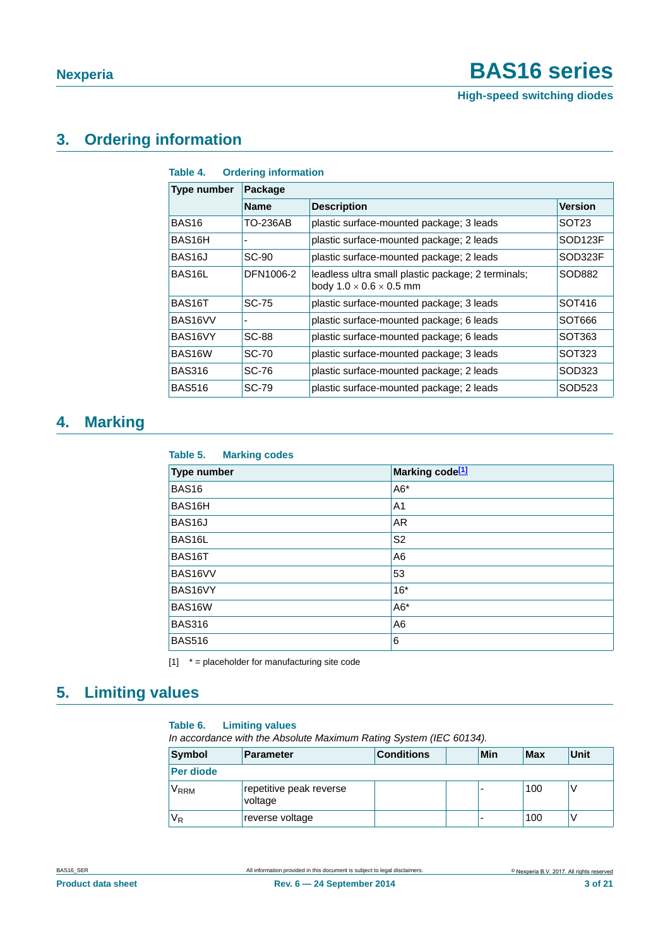### <span id="page-2-3"></span>**3. Ordering information**

| Table 4. |  | <b>Ordering information</b> |
|----------|--|-----------------------------|
|----------|--|-----------------------------|

| Type number         | Package         |                                                                                           |                     |  |  |  |  |  |
|---------------------|-----------------|-------------------------------------------------------------------------------------------|---------------------|--|--|--|--|--|
|                     | <b>Name</b>     | <b>Description</b>                                                                        | <b>Version</b>      |  |  |  |  |  |
| BAS <sub>16</sub>   | <b>TO-236AB</b> | plastic surface-mounted package; 3 leads                                                  | SOT <sub>23</sub>   |  |  |  |  |  |
| BAS16H              |                 | plastic surface-mounted package; 2 leads                                                  | SOD <sub>123F</sub> |  |  |  |  |  |
| BAS <sub>16</sub> J | SC-90           | plastic surface-mounted package; 2 leads                                                  | SOD323F             |  |  |  |  |  |
| BAS <sub>16</sub> L | DFN1006-2       | leadless ultra small plastic package; 2 terminals;<br>body $1.0 \times 0.6 \times 0.5$ mm | SOD882              |  |  |  |  |  |
| BAS <sub>16</sub> T | SC-75           | plastic surface-mounted package; 3 leads                                                  | SOT416              |  |  |  |  |  |
| BAS16VV             |                 | plastic surface-mounted package; 6 leads                                                  | SOT666              |  |  |  |  |  |
| BAS16VY             | <b>SC-88</b>    | plastic surface-mounted package; 6 leads                                                  | SOT363              |  |  |  |  |  |
| BAS16W              | <b>SC-70</b>    | plastic surface-mounted package; 3 leads                                                  | SOT323              |  |  |  |  |  |
| <b>BAS316</b>       | SC-76           | plastic surface-mounted package; 2 leads                                                  | SOD323              |  |  |  |  |  |
| <b>BAS516</b>       | SC-79           | plastic surface-mounted package; 2 leads                                                  | SOD523              |  |  |  |  |  |

### <span id="page-2-1"></span>**4. Marking**

| Table 5.<br><b>Marking codes</b> |                             |
|----------------------------------|-----------------------------|
| Type number                      | Marking code <sup>[1]</sup> |
| <b>BAS16</b>                     | $A6*$                       |
| BAS16H                           | A <sub>1</sub>              |
| BAS <sub>16</sub> J              | <b>AR</b>                   |
| BAS16L                           | S <sub>2</sub>              |
| BAS16T                           | A <sub>6</sub>              |
| BAS16VV                          | 53                          |
| BAS16VY                          | $16*$                       |
| BAS16W                           | $A6*$                       |
| <b>BAS316</b>                    | A <sub>6</sub>              |
| <b>BAS516</b>                    | 6                           |

<span id="page-2-0"></span> $[1]$   $*$  = placeholder for manufacturing site code

### <span id="page-2-4"></span>**5. Limiting values**

#### <span id="page-2-2"></span>**Table 6. Limiting values**

*In accordance with the Absolute Maximum Rating System (IEC 60134).*

| Symbol           | <b>Parameter</b>                   | <b>Conditions</b> | Min | <b>Max</b> | Unit |
|------------------|------------------------------------|-------------------|-----|------------|------|
| <b>Per diode</b> |                                    |                   |     |            |      |
| V <sub>RRM</sub> | repetitive peak reverse<br>voltage |                   |     | 100        |      |
| $\rm V_R$        | reverse voltage                    |                   | -   | 100        |      |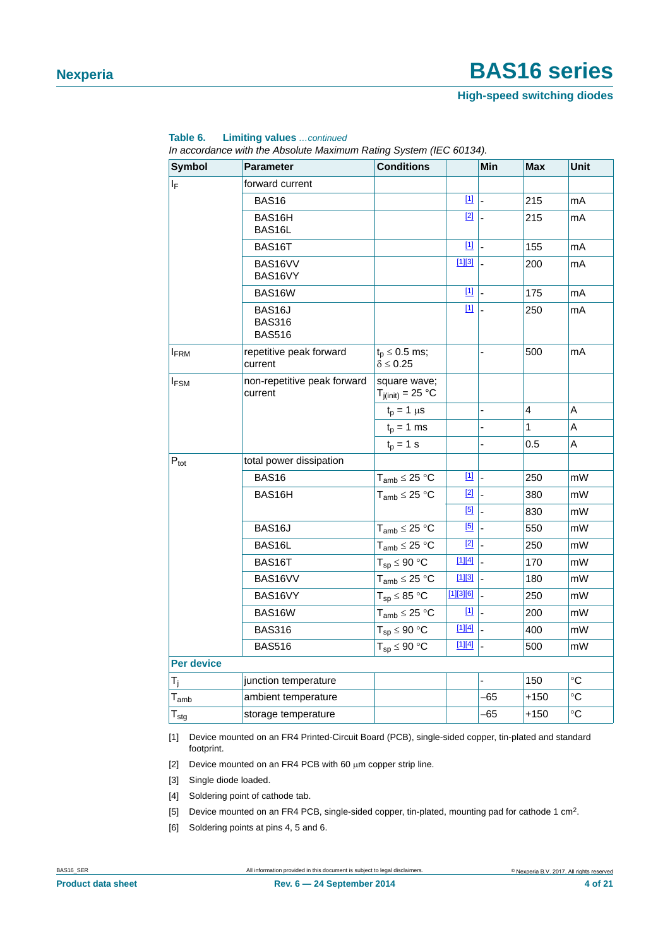#### **High-speed switching diodes**

| <b>Symbol</b>    | <b>Parameter</b>                         | <b>Conditions</b>                          |                         | Min                      | <b>Max</b>              | Unit              |
|------------------|------------------------------------------|--------------------------------------------|-------------------------|--------------------------|-------------------------|-------------------|
| ΙF               | forward current                          |                                            |                         |                          |                         |                   |
|                  | <b>BAS16</b>                             |                                            | $\boxed{11}$            | L,                       | 215                     | mA                |
|                  | BAS16H<br>BAS16L                         |                                            | [2]                     | ÷,                       | 215                     | mA                |
|                  | BAS16T                                   |                                            | $[1]$                   |                          | 155                     | mA                |
|                  | BAS16VV<br>BAS16VY                       |                                            | $[1][3]$                |                          | 200                     | mA                |
|                  | BAS16W                                   |                                            | $\boxed{1}$             | L                        | 175                     | mA                |
|                  | BAS16J<br><b>BAS316</b><br><b>BAS516</b> |                                            | $\boxed{11}$            | L,                       | 250                     | mA                |
| <b>I</b> FRM     | repetitive peak forward<br>current       | $t_{p} \leq 0.5$ ms;<br>$\delta \leq 0.25$ |                         | -                        | 500                     | mA                |
| <b>IFSM</b>      | non-repetitive peak forward<br>current   | square wave;<br>$T_{j(int)} = 25 °C$       |                         |                          |                         |                   |
|                  |                                          | $t_p = 1 \mu s$                            |                         |                          | $\overline{\mathbf{4}}$ | Α                 |
|                  |                                          | $t_p = 1$ ms                               |                         |                          | 1                       | Α                 |
|                  |                                          | $t_p = 1$ s                                |                         |                          | 0.5                     | A                 |
| $P_{\text{tot}}$ | total power dissipation                  |                                            |                         |                          |                         |                   |
|                  | BAS <sub>16</sub>                        | $T_{amb} \leq 25 °C$                       | $\boxed{11}$            | $\overline{a}$           | 250                     | mW                |
|                  | BAS16H                                   | $T_{amb} \leq 25 °C$                       | $\boxed{2}$ $\boxed{2}$ |                          | 380                     | mW                |
|                  |                                          |                                            | $[5]$                   | $\overline{a}$           | 830                     | mW                |
|                  | BAS <sub>16</sub> J                      | $T_{amb} \leq 25 °C$                       | [5]                     | $\overline{\phantom{a}}$ | 550                     | mW                |
|                  | BAS16L                                   | $T_{amb} \leq 25 \text{ °C}$               | $[2]$                   | l -                      | 250                     | mW                |
|                  | BAS16T                                   | $T_{sp} \leq 90 °C$                        | $[1][4]$                |                          | 170                     | mW                |
|                  | BAS16VV                                  | $T_{amb} \leq 25 °C$                       | 113                     | $\overline{\phantom{a}}$ | 180                     | mW                |
|                  | BAS16VY                                  | $T_{sp} \leq 85 °C$                        | [1][3][6]               | L                        | 250                     | mW                |
|                  | BAS16W                                   | $T_{amb} \leq 25 °C$                       | $\underline{[1]}$       | L,                       | 200                     | mW                |
|                  | <b>BAS316</b>                            | $T_{sp} \leq 90 °C$                        | $[1][4]$                | $\overline{a}$           | 400                     | mW                |
|                  | <b>BAS516</b>                            | $T_{SD} \leq 90 °C$                        | $[1][4]$                |                          | 500                     | mW                |
| Per device       |                                          |                                            |                         |                          |                         |                   |
| $T_i$            | junction temperature                     |                                            |                         |                          | 150                     | $^{\circ}C$       |
| $T_{amb}$        | ambient temperature                      |                                            |                         | -65                      | $+150$                  | $^\circ \text{C}$ |
| $T_{\text{stg}}$ | storage temperature                      |                                            |                         | -65                      | $+150$                  | $\circ$ C         |

#### **Table 6. Limiting values** *…continued*

*In accordance with the Absolute Maximum Rating System (IEC 60134).*

<span id="page-3-1"></span>[1] Device mounted on an FR4 Printed-Circuit Board (PCB), single-sided copper, tin-plated and standard footprint.

- <span id="page-3-2"></span>[2] Device mounted on an FR4 PCB with 60  $\mu$ m copper strip line.
- <span id="page-3-3"></span>[3] Single diode loaded.
- <span id="page-3-0"></span>[4] Soldering point of cathode tab.
- <span id="page-3-4"></span>[5] Device mounted on an FR4 PCB, single-sided copper, tin-plated, mounting pad for cathode 1 cm<sup>2</sup>.
- <span id="page-3-5"></span>[6] Soldering points at pins 4, 5 and 6.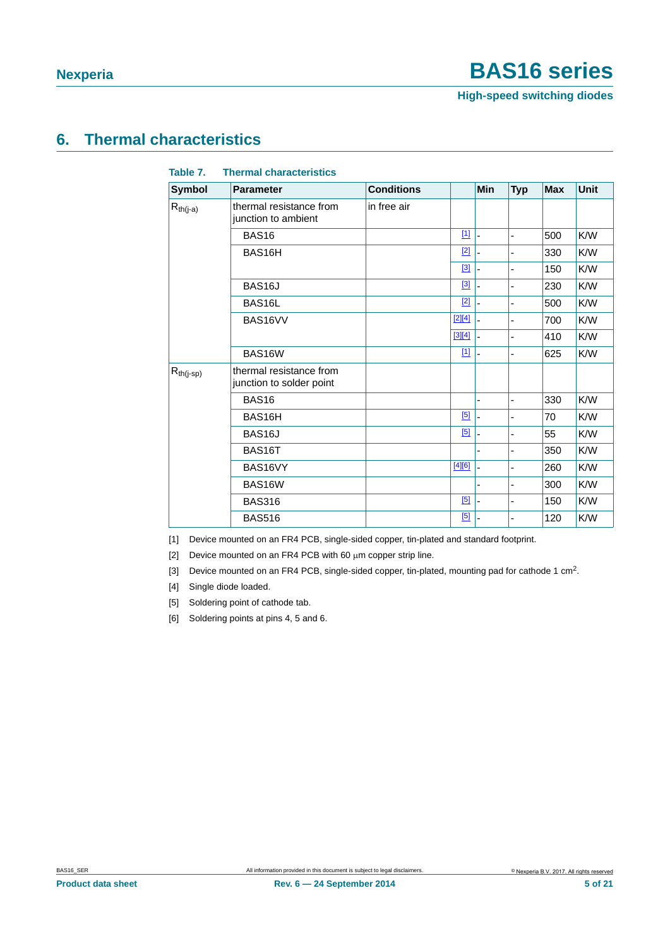**High-speed switching diodes**

### <span id="page-4-6"></span>**6. Thermal characteristics**

| Table 7.       | <b>Thermal characteristics</b>                      |                   |             |            |            |            |             |
|----------------|-----------------------------------------------------|-------------------|-------------|------------|------------|------------|-------------|
| <b>Symbol</b>  | <b>Parameter</b>                                    | <b>Conditions</b> |             | <b>Min</b> | <b>Typ</b> | <b>Max</b> | <b>Unit</b> |
| $R_{th(j-a)}$  | thermal resistance from<br>junction to ambient      | in free air       |             |            |            |            |             |
|                | BAS <sub>16</sub>                                   |                   | $\boxed{1}$ | ÷,         | -          | 500        | K/W         |
|                | BAS16H                                              |                   | $[2]$       |            |            | 330        | K/W         |
|                |                                                     |                   | $[3]$       |            |            | 150        | K/W         |
|                | BAS <sub>16</sub> J                                 |                   | $[3]$       |            |            | 230        | K/W         |
|                | BAS16L                                              |                   | $[2]$       |            |            | 500        | K/W         |
|                | BAS16VV                                             |                   | $[2][4]$    |            |            | 700        | K/W         |
|                |                                                     |                   | $[3][4]$    | ä,         |            | 410        | K/W         |
|                | BAS16W                                              |                   | $[1]$       | L,         |            | 625        | K/W         |
| $R_{th(j-sp)}$ | thermal resistance from<br>junction to solder point |                   |             |            |            |            |             |
|                | <b>BAS16</b>                                        |                   |             | ä,         | ٠          | 330        | K/W         |
|                | BAS16H                                              |                   | [5]         |            |            | 70         | K/W         |
|                | BAS <sub>16</sub> J                                 |                   | [5]         |            |            | 55         | K/W         |
|                | BAS16T                                              |                   |             |            |            | 350        | K/W         |
|                | BAS16VY                                             |                   | $[4][6]$    |            |            | 260        | K/W         |
|                | BAS16W                                              |                   |             |            |            | 300        | K/W         |
|                | <b>BAS316</b>                                       |                   | [5]         |            |            | 150        | K/W         |
|                | <b>BAS516</b>                                       |                   | [5]         |            |            | 120        | K/W         |

<span id="page-4-0"></span>[1] Device mounted on an FR4 PCB, single-sided copper, tin-plated and standard footprint.

<span id="page-4-1"></span>[2] Device mounted on an FR4 PCB with 60  $\mu$ m copper strip line.

<span id="page-4-2"></span>[3] Device mounted on an FR4 PCB, single-sided copper, tin-plated, mounting pad for cathode 1 cm<sup>2</sup>.

<span id="page-4-3"></span>[4] Single diode loaded.

<span id="page-4-4"></span>[5] Soldering point of cathode tab.

<span id="page-4-5"></span>[6] Soldering points at pins 4, 5 and 6.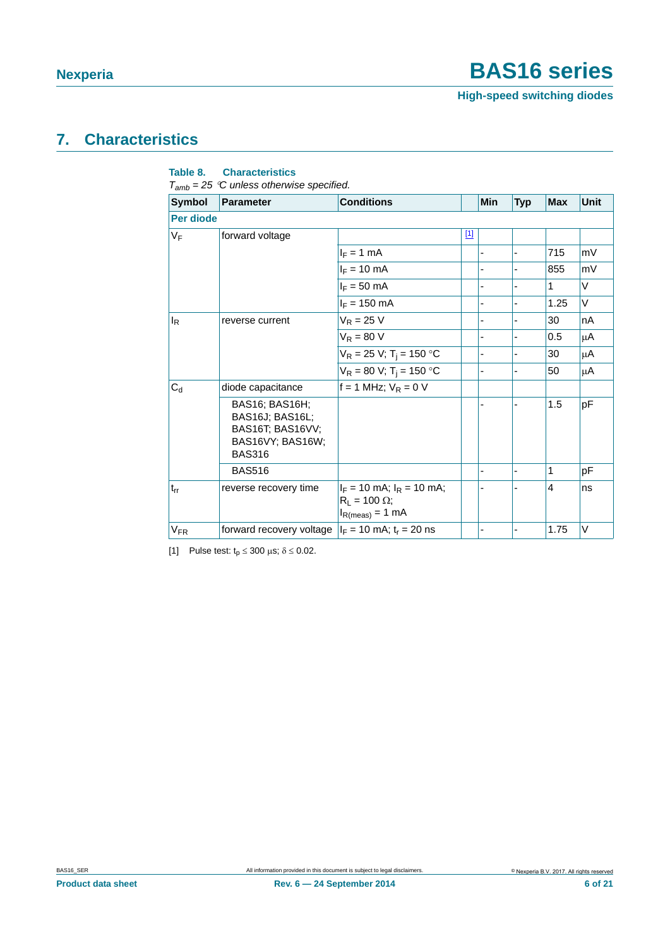### <span id="page-5-1"></span>**7. Characteristics**

| Symbol       | <b>Parameter</b>                                                                                  | <b>Conditions</b>                                                               |       | <b>Min</b> | <b>Typ</b>     | <b>Max</b> | <b>Unit</b> |
|--------------|---------------------------------------------------------------------------------------------------|---------------------------------------------------------------------------------|-------|------------|----------------|------------|-------------|
| Per diode    |                                                                                                   |                                                                                 |       |            |                |            |             |
| VF           | forward voltage                                                                                   |                                                                                 | $[1]$ |            |                |            |             |
|              |                                                                                                   | $I_F = 1$ mA                                                                    |       |            | $\blacksquare$ | 715        | mV          |
|              |                                                                                                   | $I_F = 10$ mA                                                                   |       |            | $\blacksquare$ | 855        | mV          |
|              |                                                                                                   | $I_F = 50$ mA                                                                   |       |            |                | 1          | V           |
|              |                                                                                                   | $I_F = 150$ mA                                                                  |       |            |                | 1.25       | V           |
| <sub>l</sub> | reverse current                                                                                   | $V_R = 25 V$                                                                    |       |            |                | 30         | nA          |
|              |                                                                                                   | $V_R = 80 V$                                                                    |       |            | $\overline{a}$ | 0.5        | μA          |
|              |                                                                                                   | $V_R = 25 V$ ; T <sub>i</sub> = 150 °C                                          |       |            | $\blacksquare$ | 30         | μA          |
|              |                                                                                                   | $V_R = 80 V$ ; T <sub>i</sub> = 150 °C                                          |       |            |                | 50         | μA          |
| $C_d$        | diode capacitance                                                                                 | $f = 1$ MHz; $V_R = 0$ V                                                        |       |            |                |            |             |
|              | <b>BAS16: BAS16H:</b><br>BAS16J; BAS16L;<br>BAS16T; BAS16VV;<br>BAS16VY; BAS16W;<br><b>BAS316</b> |                                                                                 |       |            |                | 1.5        | pF          |
|              | <b>BAS516</b>                                                                                     |                                                                                 |       | ٠          | $\overline{a}$ | 1          | pF          |
| $t_{rr}$     | reverse recovery time                                                                             | $I_F$ = 10 mA; $I_R$ = 10 mA;<br>$R_L$ = 100 $\Omega$ ;<br>$I_{R(meas)} = 1$ mA |       |            |                | 4          | ns          |
| $V_{FR}$     | forward recovery voltage $ I_F = 10 \text{ mA}$ ; t <sub>r</sub> = 20 ns                          |                                                                                 |       |            |                | 1.75       | V           |

#### **Table 8. Characteristics**

<span id="page-5-0"></span>[1] Pulse test:  $t_p \le 300 \text{ }\mu\text{s}; \delta \le 0.02.$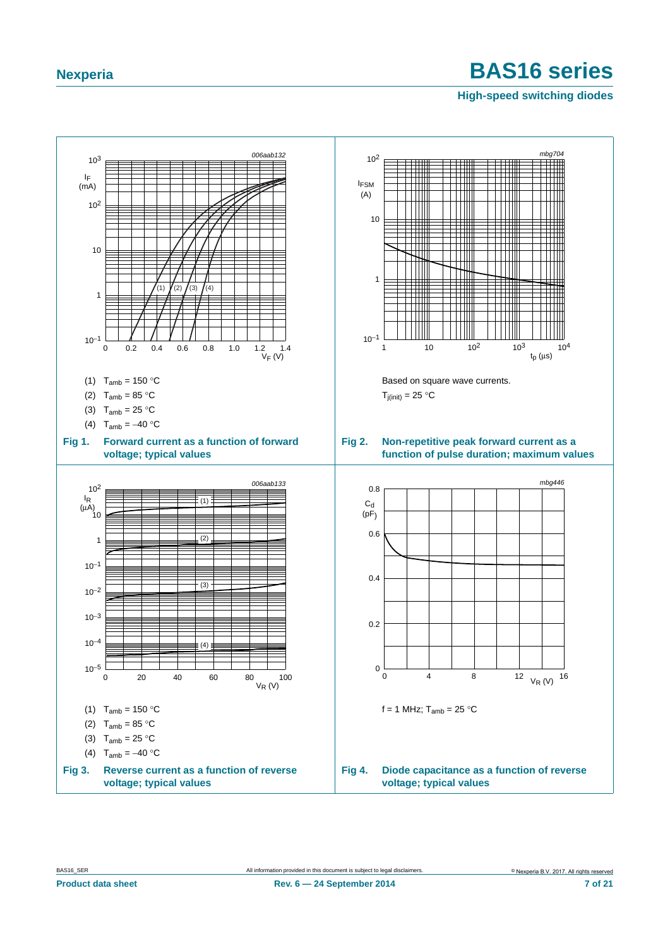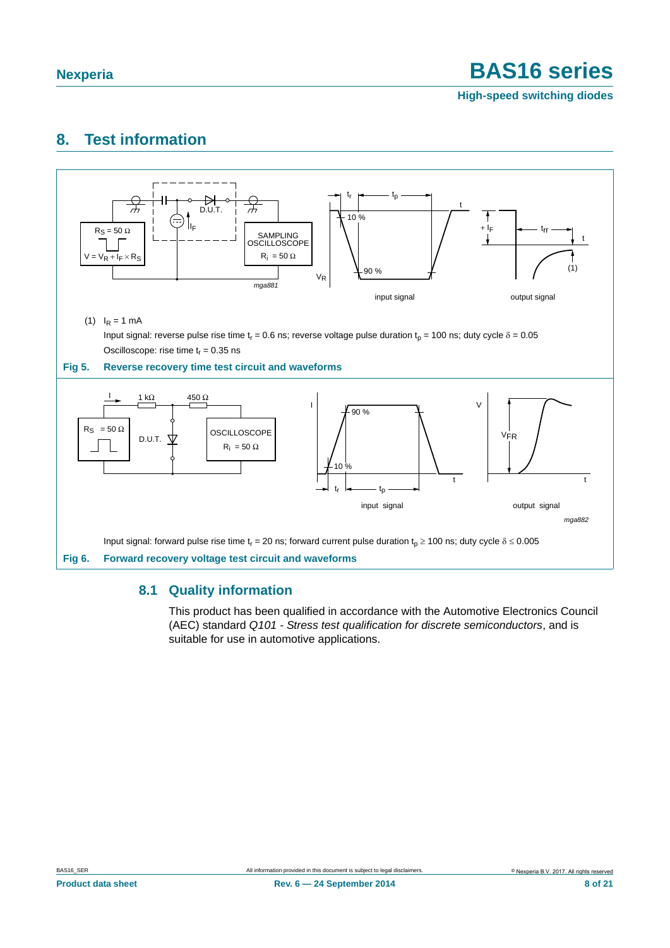**High-speed switching diodes**

### <span id="page-7-0"></span>**8. Test information**



#### <span id="page-7-1"></span>**8.1 Quality information**

This product has been qualified in accordance with the Automotive Electronics Council (AEC) standard *Q101 - Stress test qualification for discrete semiconductors*, and is suitable for use in automotive applications.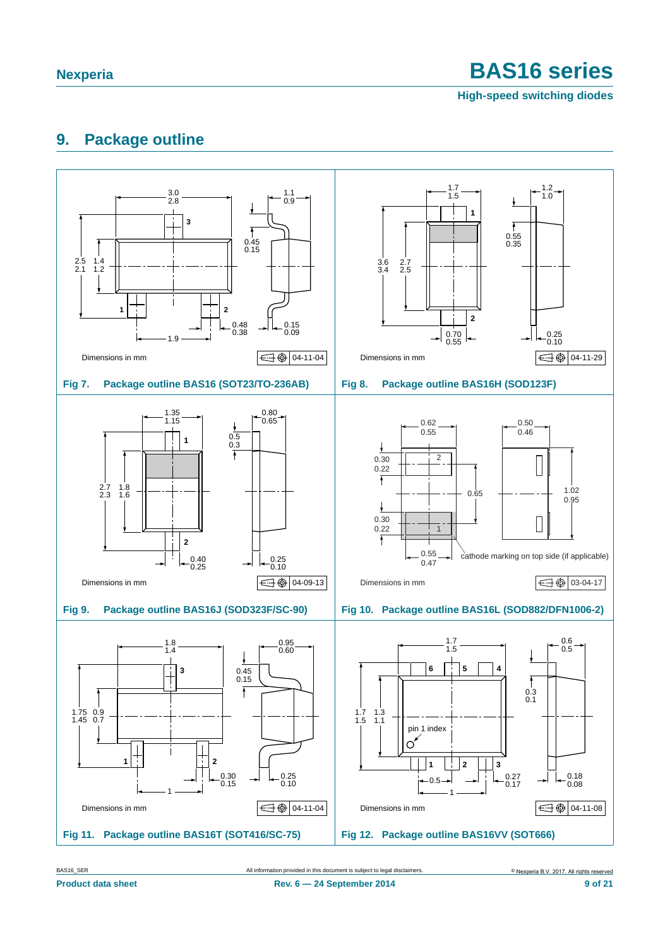**High-speed switching diodes**

### <span id="page-8-0"></span>**9. Package outline**



BAS16\_SER All information provided in this document is subject to legal disclaimers. © Nexperia B.V. 2017. All rights reserved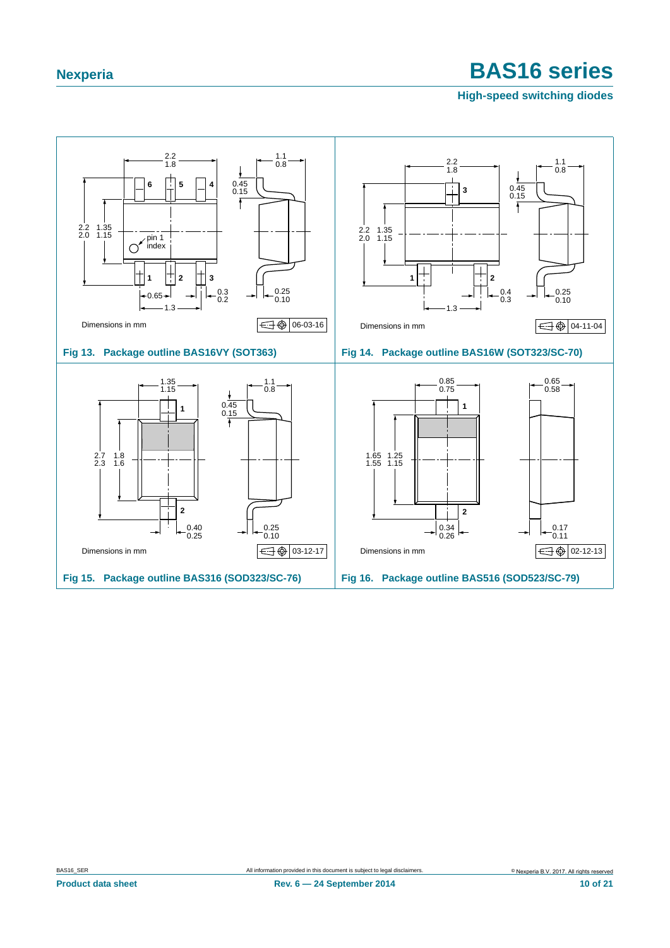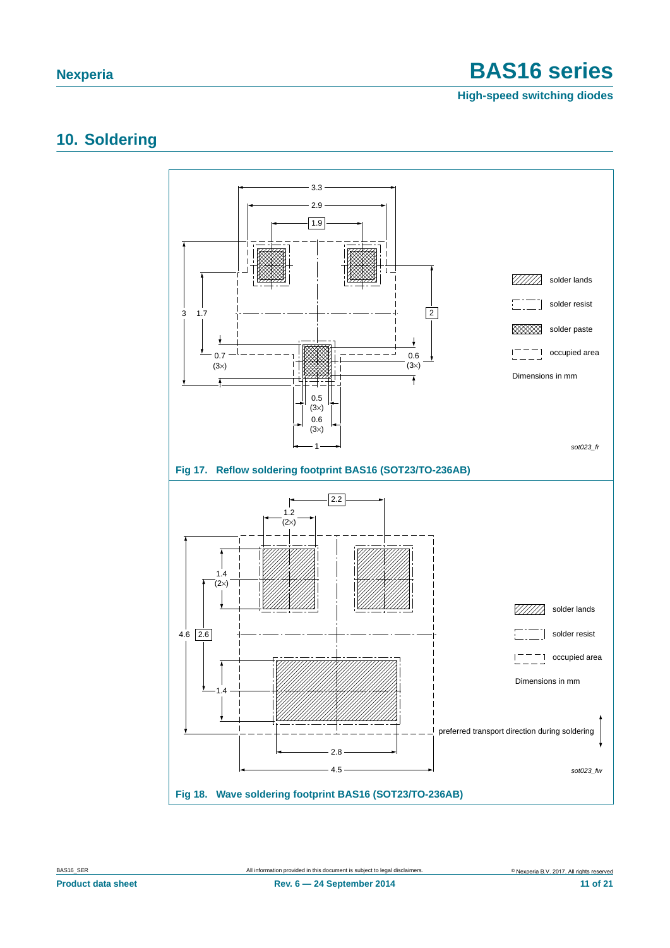**High-speed switching diodes**

### <span id="page-10-0"></span>**10. Soldering**

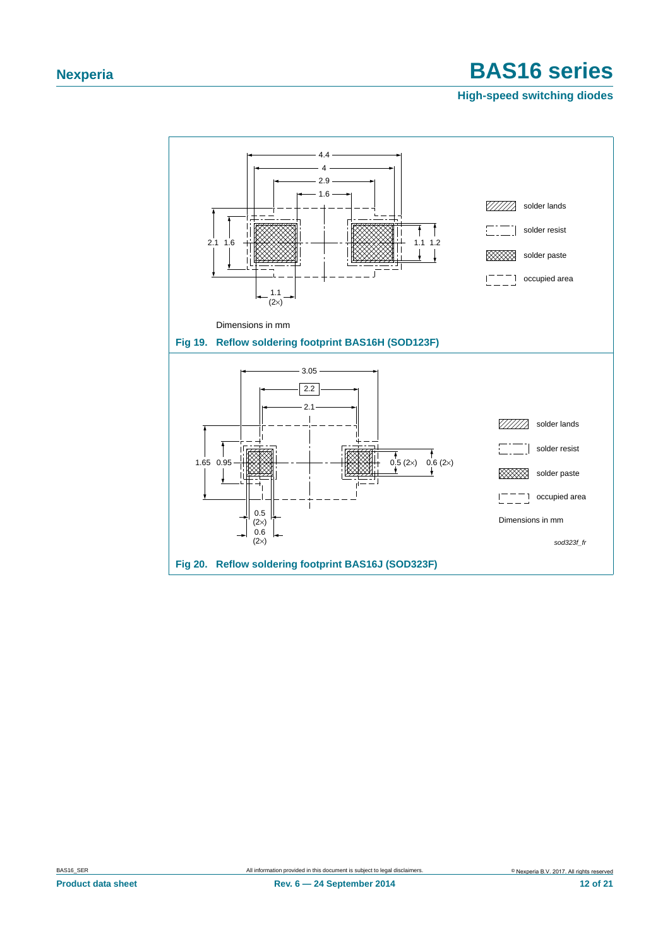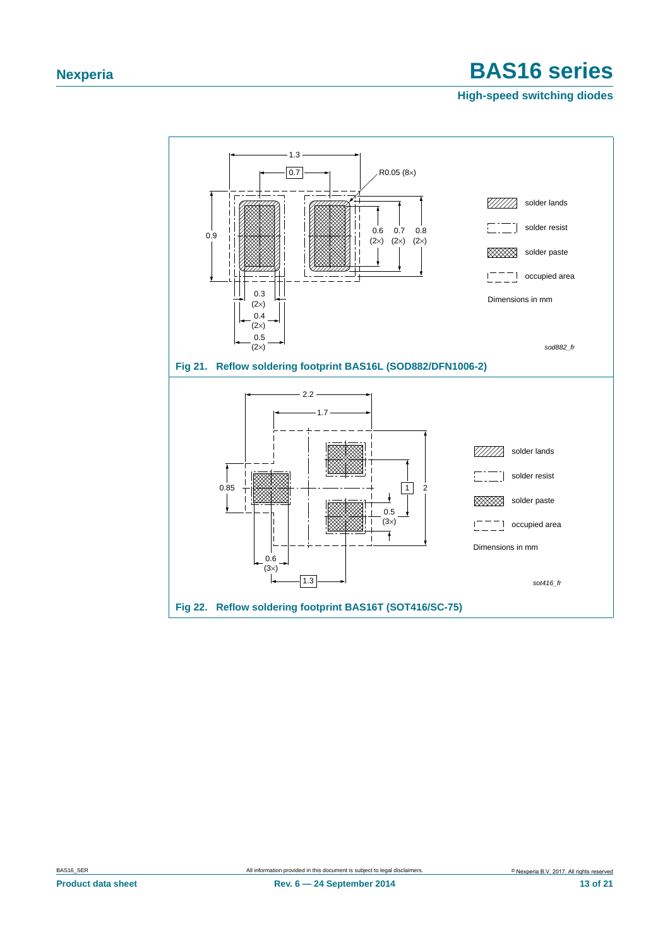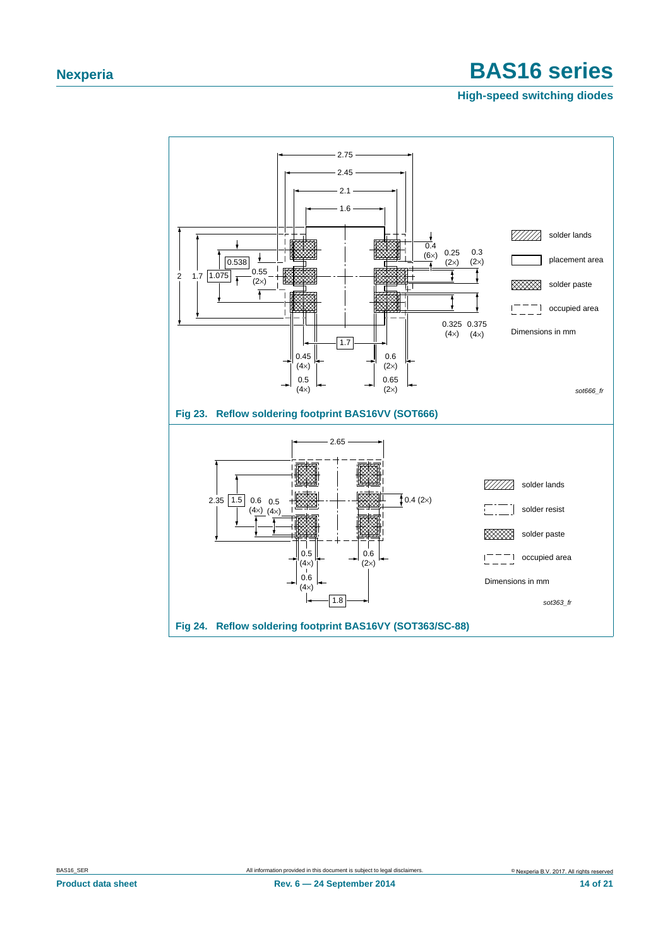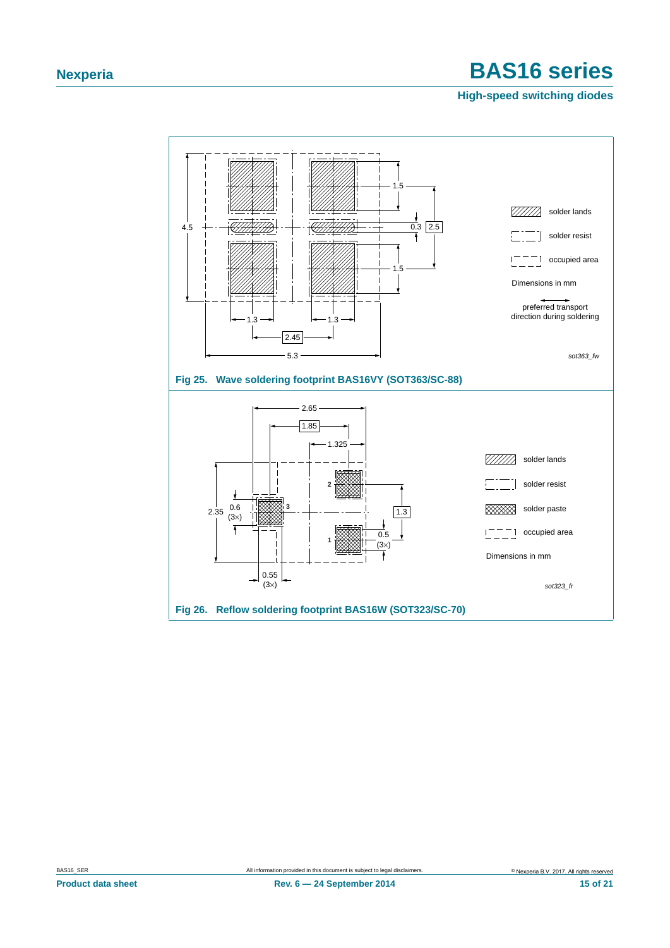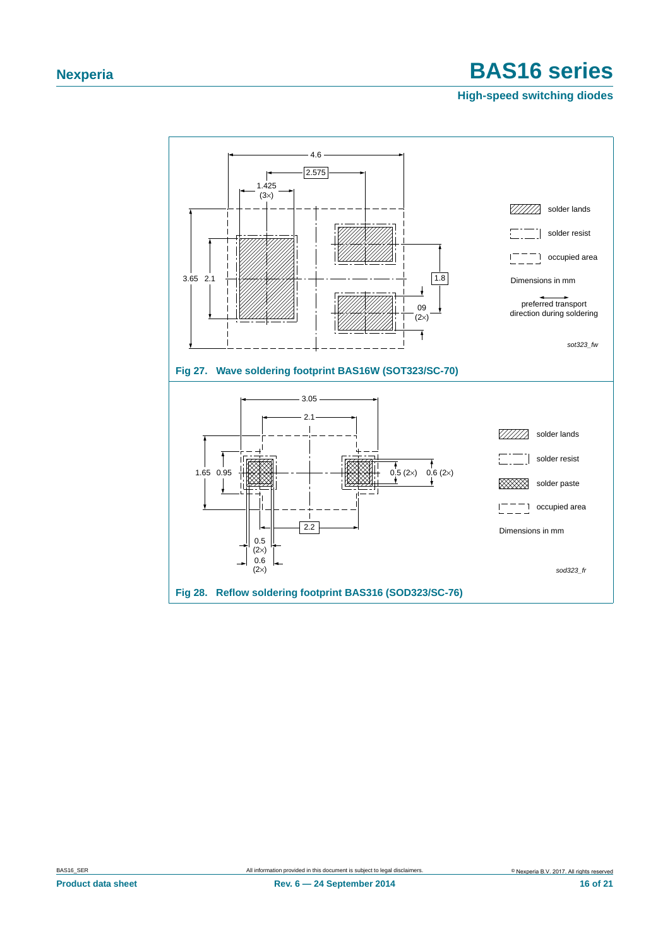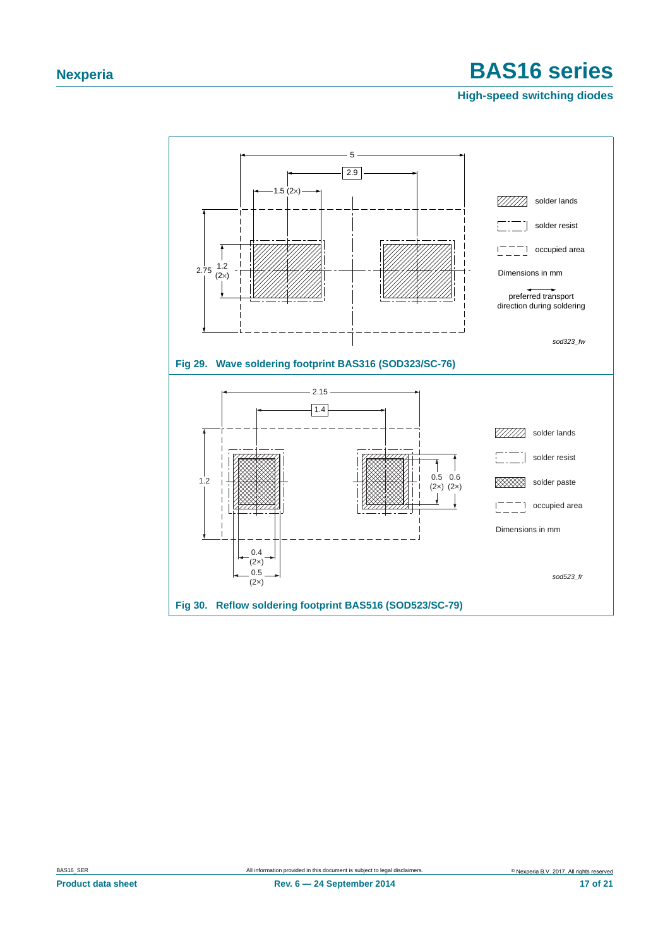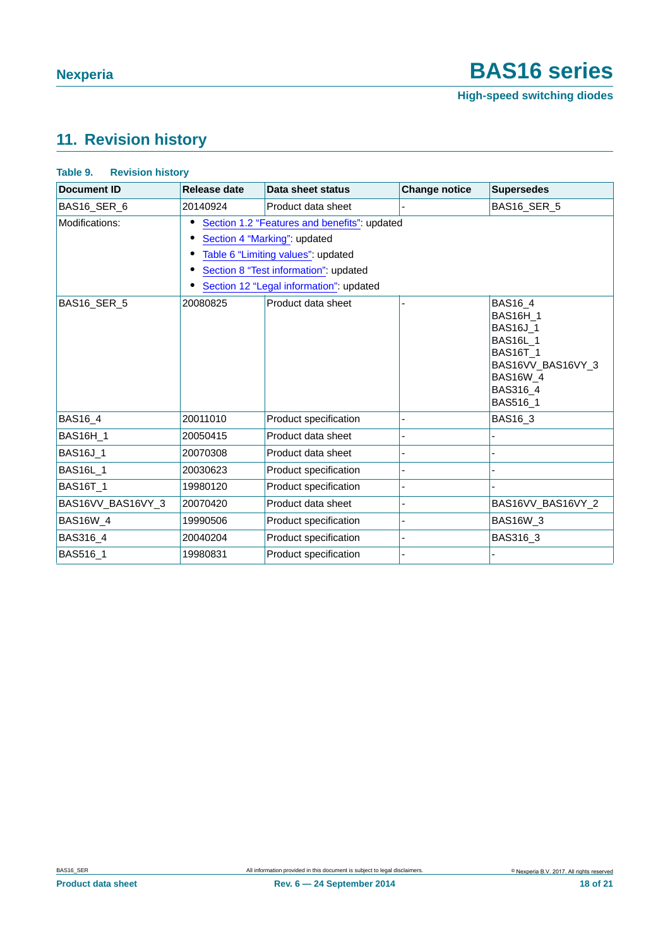### <span id="page-17-0"></span>**11. Revision history**

#### **Table 9. Revision history**

| <b>Document ID</b> | <b>Release date</b>                                                                                                                                                                                    | Data sheet status     | <b>Change notice</b> | <b>Supersedes</b>                                                                                                                                   |  |  |  |  |
|--------------------|--------------------------------------------------------------------------------------------------------------------------------------------------------------------------------------------------------|-----------------------|----------------------|-----------------------------------------------------------------------------------------------------------------------------------------------------|--|--|--|--|
| BAS16 SER 6        | 20140924                                                                                                                                                                                               | Product data sheet    |                      | BAS16 SER 5                                                                                                                                         |  |  |  |  |
| Modifications:     | Section 1.2 "Features and benefits": updated<br>Section 4 "Marking": updated<br>Table 6 "Limiting values": updated<br>Section 8 "Test information": updated<br>Section 12 "Legal information": updated |                       |                      |                                                                                                                                                     |  |  |  |  |
| BAS16 SER 5        | 20080825                                                                                                                                                                                               | Product data sheet    |                      | BAS16_4<br><b>BAS16H 1</b><br><b>BAS16J_1</b><br><b>BAS16L 1</b><br><b>BAS16T 1</b><br>BAS16VV_BAS16VY_3<br><b>BAS16W 4</b><br>BAS316 4<br>BAS516_1 |  |  |  |  |
| <b>BAS16_4</b>     | 20011010                                                                                                                                                                                               | Product specification |                      | BAS16_3                                                                                                                                             |  |  |  |  |
| <b>BAS16H_1</b>    | 20050415                                                                                                                                                                                               | Product data sheet    |                      |                                                                                                                                                     |  |  |  |  |
| <b>BAS16J_1</b>    | 20070308                                                                                                                                                                                               | Product data sheet    |                      |                                                                                                                                                     |  |  |  |  |
| <b>BAS16L_1</b>    | 20030623                                                                                                                                                                                               | Product specification |                      |                                                                                                                                                     |  |  |  |  |
| <b>BAS16T_1</b>    | 19980120                                                                                                                                                                                               | Product specification |                      |                                                                                                                                                     |  |  |  |  |
| BAS16VV_BAS16VY_3  | 20070420                                                                                                                                                                                               | Product data sheet    |                      | BAS16VV_BAS16VY_2                                                                                                                                   |  |  |  |  |
| <b>BAS16W_4</b>    | 19990506                                                                                                                                                                                               | Product specification |                      | <b>BAS16W_3</b>                                                                                                                                     |  |  |  |  |
| BAS316_4           | 20040204                                                                                                                                                                                               | Product specification |                      | BAS316_3                                                                                                                                            |  |  |  |  |
| BAS516_1           | 19980831                                                                                                                                                                                               | Product specification |                      |                                                                                                                                                     |  |  |  |  |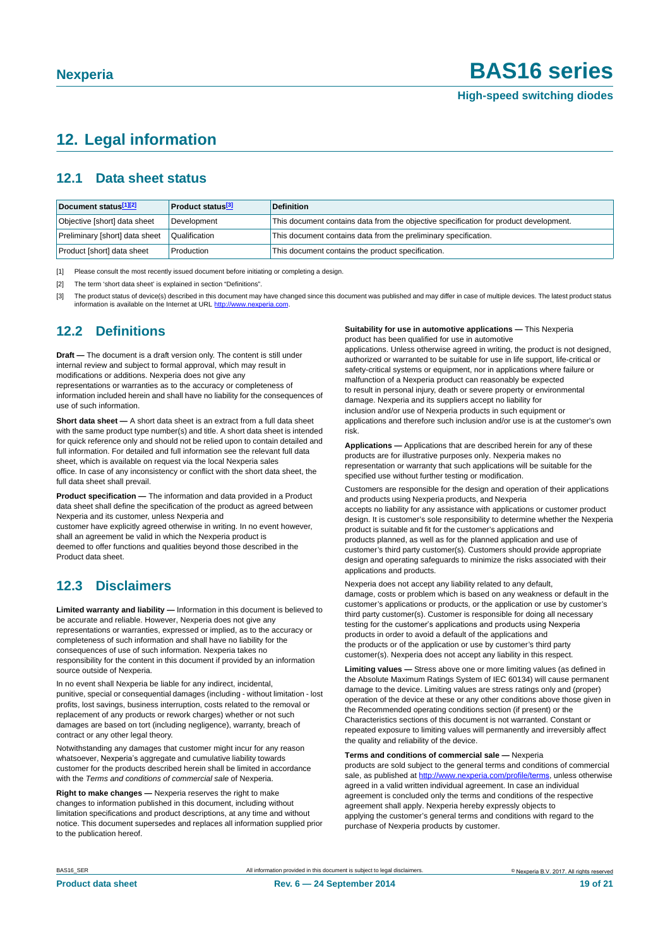### <span id="page-18-0"></span>**12. Legal information**

#### <span id="page-18-4"></span>**12.1 Data sheet status**

| Document status[1][2]          | <b>Product status</b> <sup>[3]</sup> | <b>Definition</b>                                                                     |
|--------------------------------|--------------------------------------|---------------------------------------------------------------------------------------|
| Objective [short] data sheet   | Development                          | This document contains data from the objective specification for product development. |
| Preliminary [short] data sheet | Qualification                        | This document contains data from the preliminary specification.                       |
| Product [short] data sheet     | Production                           | This document contains the product specification.                                     |

<span id="page-18-1"></span>[1] Please consult the most recently issued document before initiating or completing a design.

<span id="page-18-2"></span>[2] The term 'short data sheet' is explained in section "Definitions"

<span id="page-18-3"></span>[3] The product status of device(s) described in this document may have changed since this document was published and may differ in case of multiple devices. The latest product status<br>information is available on the Intern

#### <span id="page-18-5"></span>**12.2 Definitions**

**Draft —** The document is a draft version only. The content is still under internal review and subject to formal approval, which may result in modifications or additions. Nexperia does not give any

representations or warranties as to the accuracy or completeness of information included herein and shall have no liability for the consequences of use of such information.

**Short data sheet —** A short data sheet is an extract from a full data sheet with the same product type number(s) and title. A short data sheet is intended for quick reference only and should not be relied upon to contain detailed and full information. For detailed and full information see the relevant full data sheet, which is available on request via the local Nexperia sales office. In case of any inconsistency or conflict with the short data sheet, the full data sheet shall prevail.

**Product specification —** The information and data provided in a Product data sheet shall define the specification of the product as agreed between Nexperia and its customer, unless Nexperia and

customer have explicitly agreed otherwise in writing. In no event however, shall an agreement be valid in which the Nexperia product is deemed to offer functions and qualities beyond those described in the Product data sheet.

### <span id="page-18-6"></span>**12.3 Disclaimers**

**Limited warranty and liability —** Information in this document is believed to be accurate and reliable. However, Nexperia does not give any representations or warranties, expressed or implied, as to the accuracy or completeness of such information and shall have no liability for the consequences of use of such information. Nexperia takes no responsibility for the content in this document if provided by an information source outside of Nexperia.

In no event shall Nexperia be liable for any indirect, incidental, punitive, special or consequential damages (including - without limitation - lost profits, lost savings, business interruption, costs related to the removal or replacement of any products or rework charges) whether or not such damages are based on tort (including negligence), warranty, breach of contract or any other legal theory.

Notwithstanding any damages that customer might incur for any reason whatsoever, Nexperia's aggregate and cumulative liability towards customer for the products described herein shall be limited in accordance with the *Terms and conditions of commercial sale* of Nexperia.

**Right to make changes —** Nexperia reserves the right to make changes to information published in this document, including without limitation specifications and product descriptions, at any time and without notice. This document supersedes and replaces all information supplied prior to the publication hereof.

#### **Suitability for use in automotive applications —** This Nexperia product has been qualified for use in automotive

applications. Unless otherwise agreed in writing, the product is not designed, authorized or warranted to be suitable for use in life support, life-critical or safety-critical systems or equipment, nor in applications where failure or malfunction of a Nexperia product can reasonably be expected to result in personal injury, death or severe property or environmental damage. Nexperia and its suppliers accept no liability for inclusion and/or use of Nexperia products in such equipment or applications and therefore such inclusion and/or use is at the customer's own risk.

**Applications —** Applications that are described herein for any of these products are for illustrative purposes only. Nexperia makes no representation or warranty that such applications will be suitable for the specified use without further testing or modification.

Customers are responsible for the design and operation of their applications and products using Nexperia products, and Nexperia accepts no liability for any assistance with applications or customer product design. It is customer's sole responsibility to determine whether the Nexperia product is suitable and fit for the customer's applications and products planned, as well as for the planned application and use of customer's third party customer(s). Customers should provide appropriate design and operating safeguards to minimize the risks associated with their applications and products.

Nexperia does not accept any liability related to any default, damage, costs or problem which is based on any weakness or default in the customer's applications or products, or the application or use by customer's third party customer(s). Customer is responsible for doing all necessary testing for the customer's applications and products using Nexperia products in order to avoid a default of the applications and the products or of the application or use by customer's third party customer(s). Nexperia does not accept any liability in this respect.

**Limiting values —** Stress above one or more limiting values (as defined in the Absolute Maximum Ratings System of IEC 60134) will cause permanent damage to the device. Limiting values are stress ratings only and (proper) operation of the device at these or any other conditions above those given in the Recommended operating conditions section (if present) or the Characteristics sections of this document is not warranted. Constant or repeated exposure to limiting values will permanently and irreversibly affect the quality and reliability of the device.

#### **Terms and conditions of commercial sale —** Nexperia

products are sold subject to the general terms and conditions of commercial sale, as published at [http://www.nexperia.com/profile/](http://www.nexperia.com/profile/terms)terms, unless otherwise agreed in a valid written individual agreement. In case an individual agreement is concluded only the terms and conditions of the respective agreement shall apply. Nexperia hereby expressly objects to applying the customer's general terms and conditions with regard to the purchase of Nexperia products by customer.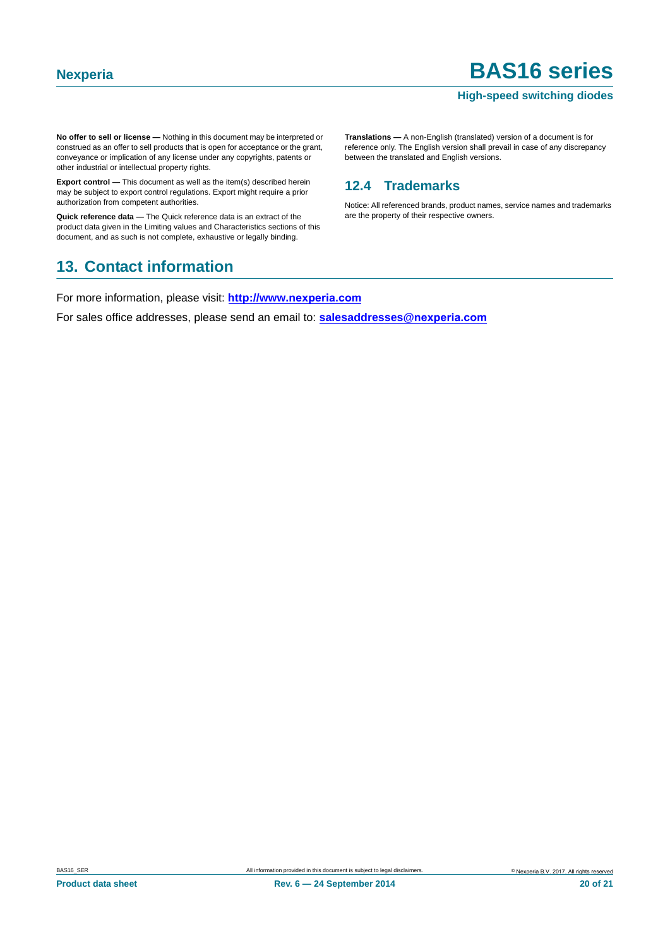#### **High-speed switching diodes**

**No offer to sell or license —** Nothing in this document may be interpreted or construed as an offer to sell products that is open for acceptance or the grant, conveyance or implication of any license under any copyrights, patents or other industrial or intellectual property rights.

**Export control —** This document as well as the item(s) described herein may be subject to export control regulations. Export might require a prior authorization from competent authorities.

**Quick reference data —** The Quick reference data is an extract of the product data given in the Limiting values and Characteristics sections of this document, and as such is not complete, exhaustive or legally binding.

### <span id="page-19-1"></span>**13. Contact information**

reference only. The English version shall prevail in case of any discrepancy between the translated and English versions.

**Translations —** A non-English (translated) version of a document is for

### <span id="page-19-0"></span>**12.4 Trademarks**

Notice: All referenced brands, product names, service names and trademarks are the property of their respective owners.

For more information, please visit: **http://www.nexperia.com**

For sales office addresses, please send an email to: **salesaddresses@nexperia.com**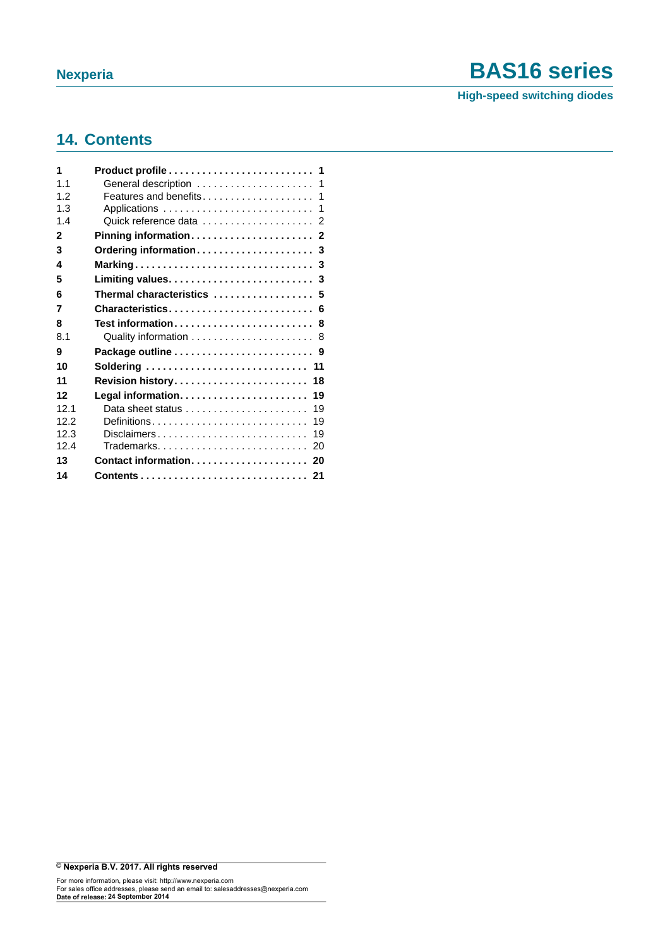**High-speed switching diodes**

### <span id="page-20-0"></span>**14. Contents**

| 1              | Product profile 1                                      |    |
|----------------|--------------------------------------------------------|----|
| 1 <sub>1</sub> | General description  1                                 |    |
| 12             | Features and benefits 1                                |    |
| 1.3            |                                                        |    |
| 1.4            |                                                        |    |
| 2              |                                                        |    |
| 3              |                                                        |    |
| 4              |                                                        |    |
| 5              |                                                        |    |
| 6              | Thermal characteristics  5                             |    |
| 7              | Characteristics 6                                      |    |
| 8              | Test information 8                                     |    |
| 8.1            |                                                        |    |
| 9              | Package outline  9                                     |    |
| 10             | Soldering  11                                          |    |
| 11             | Revision history 18                                    |    |
| 12             |                                                        | 19 |
| 121            | Data sheet status $\ldots \ldots \ldots \ldots \ldots$ | 19 |
| 122            |                                                        | 19 |
| 12.3           | Disclaimers                                            | 19 |
| 124            | Trademarks 20                                          |    |
| 13             |                                                        |    |
| 14             |                                                        |    |